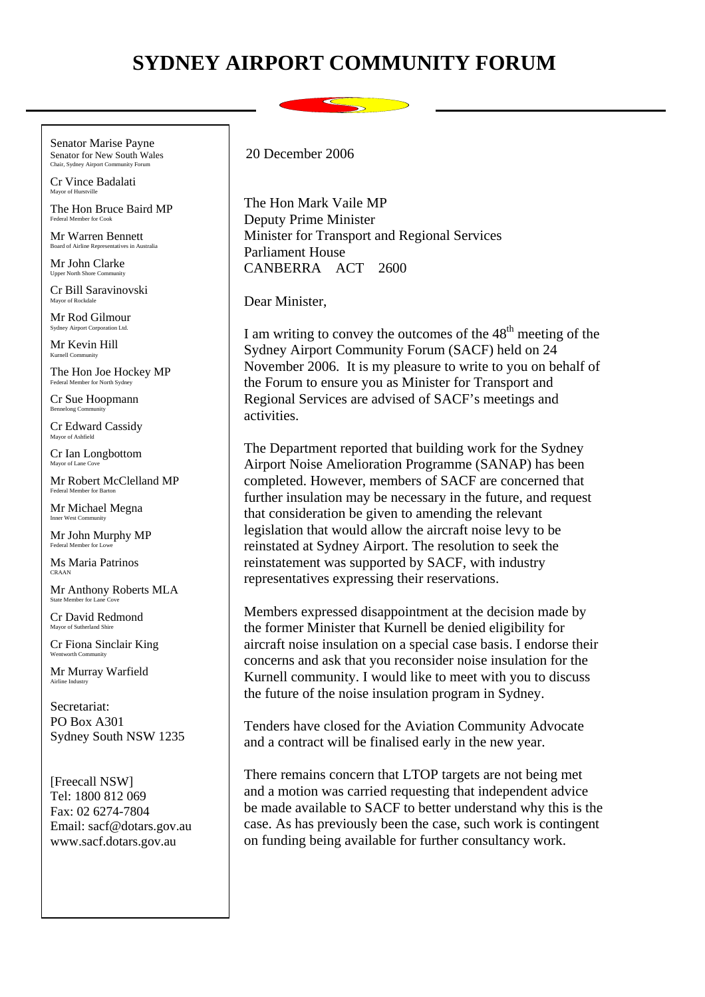## **SYDNEY AIRPORT COMMUNITY FORUM**

Senator Marise Payne Senator for New South Wales **Lair, Sydney Airport Community** 

Cr Vince Badalati Mayor of Hurstvil

The Hon Bruce Baird MP Federal Member for Cook

Mr Warren Bennett Board of Airline Representatives in Australia

Mr John Clarke Upper North Shore Con

Cr Bill Saravinovski Mayor of Rockdale

Mr Rod Gilmour Sydney Airport Corporation Ltd.

Mr Kevin Hill Kurnell Community

The Hon Joe Hockey MP Federal Member for North Sydney

Cr Sue Hoopmann Bennelong Community

Cr Edward Cassidy Mayor of Ashfield

Cr Ian Longbottom Mayor of Lane  $C$ 

Mr Robert McClelland MP Federal Member for Barton

Mr Michael Megna Inner West Community

Mr John Murphy MP Federal Member for Lowe

Ms Maria Patrinos CRAAN

Mr Anthony Roberts MLA State Member for Lane C

Cr David Redmond Mayor of Sutherland Shir

Cr Fiona Sinclair King Wentworth Community

Mr Murray Warfield Airline Industry

Secretariat: PO Box A301 Sydney South NSW 1235

[Freecall NSW] Tel: 1800 812 069 Fax: 02 6274-7804 Email: sacf@dotars.gov.au www.sacf.dotars.gov.au

20 December 2006

The Hon Mark Vaile MP Deputy Prime Minister Minister for Transport and Regional Services Parliament House CANBERRA ACT 2600

Dear Minister,

I am writing to convey the outcomes of the  $48<sup>th</sup>$  meeting of the Sydney Airport Community Forum (SACF) held on 24 November 2006. It is my pleasure to write to you on behalf of the Forum to ensure you as Minister for Transport and Regional Services are advised of SACF's meetings and activities.

The Department reported that building work for the Sydney Airport Noise Amelioration Programme (SANAP) has been completed. However, members of SACF are concerned that further insulation may be necessary in the future, and request that consideration be given to amending the relevant legislation that would allow the aircraft noise levy to be reinstated at Sydney Airport. The resolution to seek the reinstatement was supported by SACF, with industry representatives expressing their reservations.

Members expressed disappointment at the decision made by the former Minister that Kurnell be denied eligibility for aircraft noise insulation on a special case basis. I endorse their concerns and ask that you reconsider noise insulation for the Kurnell community. I would like to meet with you to discuss the future of the noise insulation program in Sydney.

Tenders have closed for the Aviation Community Advocate and a contract will be finalised early in the new year.

There remains concern that LTOP targets are not being met and a motion was carried requesting that independent advice be made available to SACF to better understand why this is the case. As has previously been the case, such work is contingent on funding being available for further consultancy work.